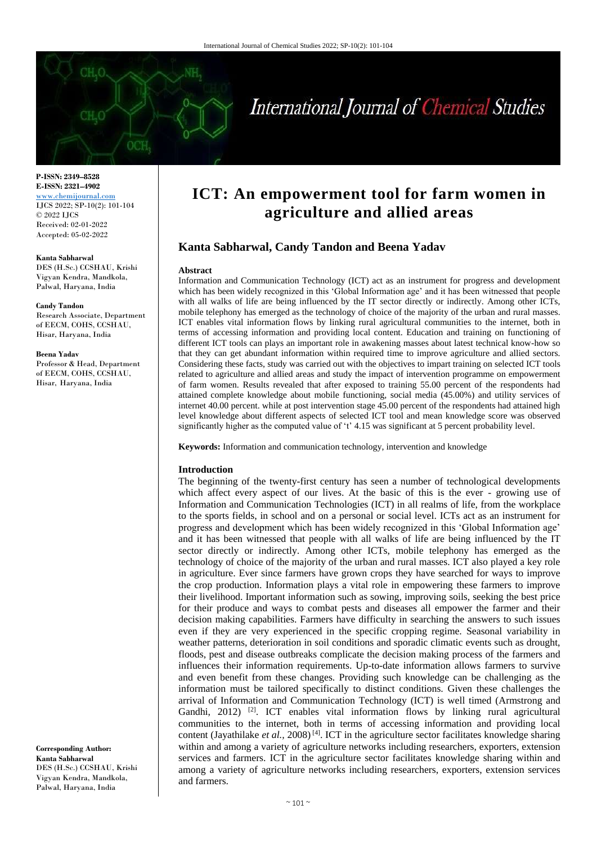

**P-ISSN: 2349–8528 E-ISSN: 2321–4902** <www.chemijournal.com> IJCS 2022; SP-10(2): 101-104 © 2022 IJCS Received: 02-01-2022 Accepted: 05-02-2022

#### **Kanta Sabharwal**

DES (H.Sc.) CCSHAU, Krishi Vigyan Kendra, Mandkola, Palwal, Haryana, India

#### **Candy Tandon**

Research Associate, Department of EECM, COHS, CCSHAU, Hisar, Haryana, India

#### **Beena Yadav**

Professor & Head, Department of EECM, COHS, CCSHAU, Hisar, Haryana, India

# **ICT: An empowerment tool for farm women in agriculture and allied areas**

# **Kanta Sabharwal, Candy Tandon and Beena Yadav**

#### **Abstract**

Information and Communication Technology (ICT) act as an instrument for progress and development which has been widely recognized in this 'Global Information age' and it has been witnessed that people with all walks of life are being influenced by the IT sector directly or indirectly. Among other ICTs, mobile telephony has emerged as the technology of choice of the majority of the urban and rural masses. ICT enables vital information flows by linking rural agricultural communities to the internet, both in terms of accessing information and providing local content. Education and training on functioning of different ICT tools can plays an important role in awakening masses about latest technical know-how so that they can get abundant information within required time to improve agriculture and allied sectors. Considering these facts, study was carried out with the objectives to impart training on selected ICT tools related to agriculture and allied areas and study the impact of intervention programme on empowerment of farm women. Results revealed that after exposed to training 55.00 percent of the respondents had attained complete knowledge about mobile functioning, social media (45.00%) and utility services of internet 40.00 percent. while at post intervention stage 45.00 percent of the respondents had attained high level knowledge about different aspects of selected ICT tool and mean knowledge score was observed significantly higher as the computed value of 't' 4.15 was significant at 5 percent probability level.

**Keywords:** Information and communication technology, intervention and knowledge

## **Introduction**

The beginning of the twenty-first century has seen a number of technological developments which affect every aspect of our lives. At the basic of this is the ever - growing use of Information and Communication Technologies (ICT) in all realms of life, from the workplace to the sports fields, in school and on a personal or social level. ICTs act as an instrument for progress and development which has been widely recognized in this 'Global Information age' and it has been witnessed that people with all walks of life are being influenced by the IT sector directly or indirectly. Among other ICTs, mobile telephony has emerged as the technology of choice of the majority of the urban and rural masses. ICT also played a key role in agriculture. Ever since farmers have grown crops they have searched for ways to improve the crop production. Information plays a vital role in empowering these farmers to improve their livelihood. Important information such as sowing, improving soils, seeking the best price for their produce and ways to combat pests and diseases all empower the farmer and their decision making capabilities. Farmers have difficulty in searching the answers to such issues even if they are very experienced in the specific cropping regime. Seasonal variability in weather patterns, deterioration in soil conditions and sporadic climatic events such as drought, floods, pest and disease outbreaks complicate the decision making process of the farmers and influences their information requirements. Up-to-date information allows farmers to survive and even benefit from these changes. Providing such knowledge can be challenging as the information must be tailored specifically to distinct conditions. Given these challenges the arrival of Information and Communication Technology (ICT) is well timed (Armstrong and Gandhi,  $2012$ ) <sup>[2]</sup>. ICT enables vital information flows by linking rural agricultural communities to the internet, both in terms of accessing information and providing local content (Jayathilake et al., 2008)<sup>[4]</sup>. ICT in the agriculture sector facilitates knowledge sharing within and among a variety of agriculture networks including researchers, exporters, extension services and farmers. ICT in the agriculture sector facilitates knowledge sharing within and among a variety of agriculture networks including researchers, exporters, extension services and farmers.

**Corresponding Author: Kanta Sabharwal** DES (H.Sc.) CCSHAU, Krishi Vigyan Kendra, Mandkola, Palwal, Haryana, India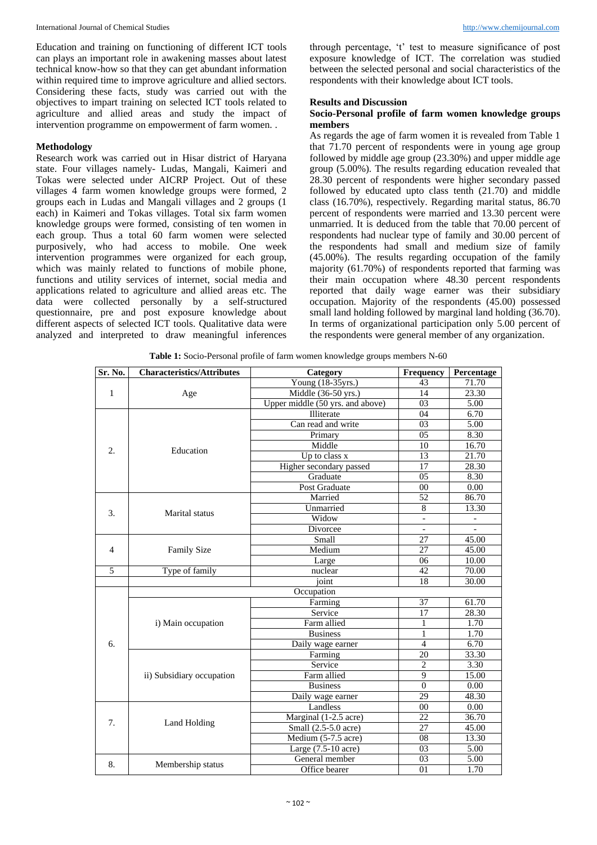Education and training on functioning of different ICT tools can plays an important role in awakening masses about latest technical know-how so that they can get abundant information within required time to improve agriculture and allied sectors. Considering these facts, study was carried out with the objectives to impart training on selected ICT tools related to agriculture and allied areas and study the impact of intervention programme on empowerment of farm women. .

# **Methodology**

Research work was carried out in Hisar district of Haryana state. Four villages namely- Ludas, Mangali, Kaimeri and Tokas were selected under AICRP Project. Out of these villages 4 farm women knowledge groups were formed, 2 groups each in Ludas and Mangali villages and 2 groups (1 each) in Kaimeri and Tokas villages. Total six farm women knowledge groups were formed, consisting of ten women in each group. Thus a total 60 farm women were selected purposively, who had access to mobile. One week intervention programmes were organized for each group, which was mainly related to functions of mobile phone, functions and utility services of internet, social media and applications related to agriculture and allied areas etc. The data were collected personally by a self-structured questionnaire, pre and post exposure knowledge about different aspects of selected ICT tools. Qualitative data were analyzed and interpreted to draw meaningful inferences

through percentage, 't' test to measure significance of post exposure knowledge of ICT. The correlation was studied between the selected personal and social characteristics of the respondents with their knowledge about ICT tools.

## **Results and Discussion**

# **Socio-Personal profile of farm women knowledge groups members**

As regards the age of farm women it is revealed from Table 1 that 71.70 percent of respondents were in young age group followed by middle age group (23.30%) and upper middle age group (5.00%). The results regarding education revealed that 28.30 percent of respondents were higher secondary passed followed by educated upto class tenth (21.70) and middle class (16.70%), respectively. Regarding marital status, 86.70 percent of respondents were married and 13.30 percent were unmarried. It is deduced from the table that 70.00 percent of respondents had nuclear type of family and 30.00 percent of the respondents had small and medium size of family  $(45.00\%)$ . The results regarding occupation of the family majority (61.70%) of respondents reported that farming was their main occupation where 48.30 percent respondents reported that daily wage earner was their subsidiary occupation. Majority of the respondents (45.00) possessed small land holding followed by marginal land holding (36.70). In terms of organizational participation only 5.00 percent of the respondents were general member of any organization.

| Sr. No.        | <b>Characteristics/Attributes</b> | Category                                   | Frequency                | Percentage               |
|----------------|-----------------------------------|--------------------------------------------|--------------------------|--------------------------|
|                |                                   | Young (18-35yrs.)                          | 43                       | 71.70                    |
| 1              | Age                               | Middle (36-50 yrs.)                        | 14                       | 23.30                    |
|                |                                   | Upper middle $(50 \text{ yrs.}$ and above) | 03                       | 5.00                     |
|                |                                   | Illiterate                                 | 04                       | 6.70                     |
|                |                                   | Can read and write                         | $\overline{03}$          | 5.00                     |
|                |                                   | Primary                                    | 05                       | 8.30                     |
| 2.             |                                   | Middle                                     | 10                       | 16.70                    |
|                | Education                         | Up to class x                              | 13                       | 21.70                    |
|                |                                   | Higher secondary passed                    | 17                       | 28.30                    |
|                |                                   | Graduate                                   | 05                       | 8.30                     |
|                |                                   | Post Graduate                              | 00                       | 0.00                     |
|                |                                   | Married                                    | 52                       | 86.70                    |
| 3.             | <b>Marital</b> status             | Unmarried                                  | 8                        | 13.30                    |
|                |                                   | Widow                                      | $\overline{a}$           |                          |
|                |                                   | Divorcee                                   | $\overline{\phantom{a}}$ | $\overline{\phantom{a}}$ |
| $\overline{4}$ | <b>Family Size</b>                | Small                                      | $\overline{27}$          | 45.00                    |
|                |                                   | Medium                                     | 27                       | 45.00                    |
|                |                                   | Large                                      | 06                       | 10.00                    |
| 5              | Type of family                    | nuclear                                    | 42                       | 70.00                    |
|                |                                   | joint                                      | 18                       | 30.00                    |
|                |                                   | Occupation                                 |                          |                          |
|                |                                   | Farming                                    | 37                       | 61.70                    |
|                |                                   | Service                                    | 17                       | 28.30                    |
|                | i) Main occupation                | Farm allied                                | 1                        | 1.70                     |
|                |                                   | <b>Business</b>                            | $\mathbf{1}$             | 1.70                     |
| 6.             |                                   | Daily wage earner                          | $\overline{4}$           | 6.70                     |
|                |                                   | Farming                                    | 20                       | 33.30                    |
|                | ii) Subsidiary occupation         | Service                                    | $\overline{2}$           | 3.30                     |
|                |                                   | Farm allied                                | $\overline{9}$           | 15.00                    |
|                |                                   | <b>Business</b>                            | $\overline{0}$           | 0.00                     |
|                |                                   | Daily wage earner                          | 29                       | 48.30                    |
| 7.             | Land Holding                      | Landless                                   | 00                       | 0.00                     |
|                |                                   | Marginal (1-2.5 acre)                      | 22                       | 36.70                    |
|                |                                   | Small (2.5-5.0 acre)                       | 27                       | 45.00                    |
|                |                                   | Medium (5-7.5 acre)                        | 08                       | 13.30                    |
|                |                                   | Large (7.5-10 acre)                        | 03                       | 5.00                     |
| 8.             | Membership status                 | General member                             | 03                       | 5.00                     |
|                |                                   | Office bearer                              | $\overline{01}$          | 1.70                     |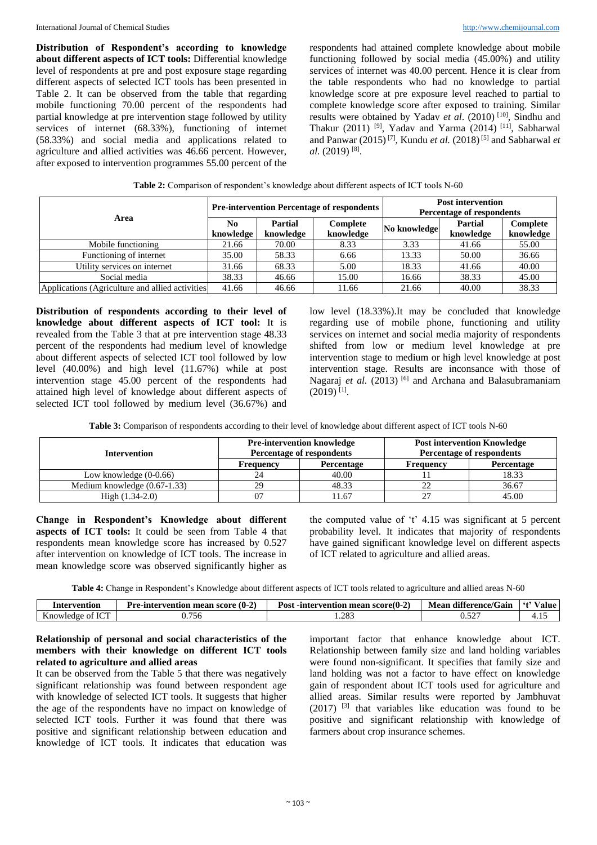**Distribution of Respondent's according to knowledge about different aspects of ICT tools:** Differential knowledge level of respondents at pre and post exposure stage regarding different aspects of selected ICT tools has been presented in Table 2. It can be observed from the table that regarding mobile functioning 70.00 percent of the respondents had partial knowledge at pre intervention stage followed by utility services of internet (68.33%), functioning of internet (58.33%) and social media and applications related to agriculture and allied activities was 46.66 percent. However, after exposed to intervention programmes 55.00 percent of the respondents had attained complete knowledge about mobile functioning followed by social media (45.00%) and utility services of internet was 40.00 percent. Hence it is clear from the table respondents who had no knowledge to partial knowledge score at pre exposure level reached to partial to complete knowledge score after exposed to training. Similar results were obtained by Yadav et al. (2010)<sup>[10]</sup>, Sindhu and Thakur (2011)<sup>[9]</sup>, Yadav and Yarma (2014)<sup>[11]</sup>, Sabharwal and Panwar  $(2015)^{7}$ , Kundu *et al.*  $(2018)^{5}$  and Sabharwal *et* al. (2019)<sup>[8]</sup>.

| Area                                             | <b>Pre-intervention Percentage of respondents</b> |                      |                       | <b>Post intervention</b><br><b>Percentage of respondents</b> |                             |                       |
|--------------------------------------------------|---------------------------------------------------|----------------------|-----------------------|--------------------------------------------------------------|-----------------------------|-----------------------|
|                                                  | N <sub>0</sub><br>knowledge                       | Partial<br>knowledge | Complete<br>knowledge | No knowledge                                                 | <b>Partial</b><br>knowledge | Complete<br>knowledge |
| Mobile functioning                               | 21.66                                             | 70.00                | 8.33                  | 3.33                                                         | 41.66                       | 55.00                 |
| Functioning of internet                          | 35.00                                             | 58.33                | 6.66                  | 13.33                                                        | 50.00                       | 36.66                 |
| Utility services on internet                     | 31.66                                             | 68.33                | 5.00                  | 18.33                                                        | 41.66                       | 40.00                 |
| Social media                                     | 38.33                                             | 46.66                | 15.00                 | 16.66                                                        | 38.33                       | 45.00                 |
| Applications (Agriculture and allied activities) | 41.66                                             | 46.66                | 11.66                 | 21.66                                                        | 40.00                       | 38.33                 |

| Table 2: Comparison of respondent's knowledge about different aspects of ICT tools N-60 |  |  |  |  |
|-----------------------------------------------------------------------------------------|--|--|--|--|
|                                                                                         |  |  |  |  |

**Distribution of respondents according to their level of knowledge about different aspects of ICT tool:** It is revealed from the Table 3 that at pre intervention stage 48.33 percent of the respondents had medium level of knowledge about different aspects of selected ICT tool followed by low level (40.00%) and high level (11.67%) while at post intervention stage 45.00 percent of the respondents had attained high level of knowledge about different aspects of selected ICT tool followed by medium level (36.67%) and low level (18.33%).It may be concluded that knowledge regarding use of mobile phone, functioning and utility services on internet and social media majority of respondents shifted from low or medium level knowledge at pre intervention stage to medium or high level knowledge at post intervention stage. Results are inconsance with those of Nagaraj et al. (2013) <sup>[6]</sup> and Archana and Balasubramaniam  $(2019)$ <sup>[1]</sup>.

| Table 3: Comparison of respondents according to their level of knowledge about different aspect of ICT tools N-60 |  |  |  |
|-------------------------------------------------------------------------------------------------------------------|--|--|--|
|-------------------------------------------------------------------------------------------------------------------|--|--|--|

| Intervention                   |                  | <b>Pre-intervention knowledge</b><br><b>Percentage of respondents</b> | <b>Post intervention Knowledge</b><br><b>Percentage of respondents</b> |            |
|--------------------------------|------------------|-----------------------------------------------------------------------|------------------------------------------------------------------------|------------|
|                                | <b>Frequency</b> | Percentage                                                            | <b>Frequency</b>                                                       | Percentage |
| Low knowledge $(0-0.66)$       |                  | 40.00                                                                 |                                                                        | 18.33      |
| Medium knowledge $(0.67-1.33)$ | 29               | 48.33                                                                 |                                                                        | 36.67      |
| High $(1.34-2.0)$              |                  | 1.67                                                                  |                                                                        | 45.00      |

**Change in Respondent's Knowledge about different aspects of ICT tools:** It could be seen from Table 4 that respondents mean knowledge score has increased by 0.527 after intervention on knowledge of ICT tools. The increase in mean knowledge score was observed significantly higher as

the computed value of 't' 4.15 was significant at 5 percent probability level. It indicates that majority of respondents have gained significant knowledge level on different aspects of ICT related to agriculture and allied areas.

**Table 4:** Change in Respondent's Knowledge about different aspects of ICT tools related to agriculture and allied areas N-60

| Intervention           | $\sim$ $\sim$<br><b>Pre-intervention</b><br>score<br>mean<br>` (U-4, | $\overline{\phantom{a}}$<br>$\sqrt{2}$<br>Post<br>-intervention<br>-score(0-2)<br>mean | difference/Gain<br>Mean | 64.<br>'alue |
|------------------------|----------------------------------------------------------------------|----------------------------------------------------------------------------------------|-------------------------|--------------|
| TCT<br>Knowledge<br>ΩL | $\overline{\phantom{0}}$<br>U.756                                    | 200<br>200                                                                             | $-$<br>0.JZ             | .            |

# **Relationship of personal and social characteristics of the members with their knowledge on different ICT tools related to agriculture and allied areas**

It can be observed from the Table 5 that there was negatively significant relationship was found between respondent age with knowledge of selected ICT tools. It suggests that higher the age of the respondents have no impact on knowledge of selected ICT tools. Further it was found that there was positive and significant relationship between education and knowledge of ICT tools. It indicates that education was

important factor that enhance knowledge about ICT. Relationship between family size and land holding variables were found non-significant. It specifies that family size and land holding was not a factor to have effect on knowledge gain of respondent about ICT tools used for agriculture and allied areas. Similar results were reported by Jambhuvat  $(2017)$ <sup>[3]</sup> that variables like education was found to be positive and significant relationship with knowledge of farmers about crop insurance schemes.